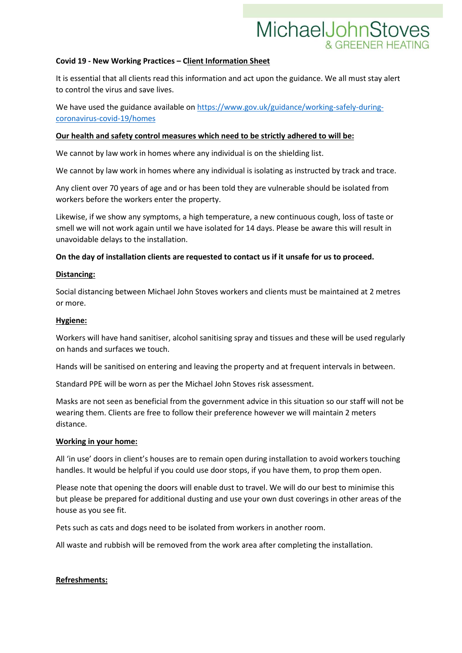## MichaelJohnStoves

### **Covid 19 - New Working Practices – Client Information Sheet**

It is essential that all clients read this information and act upon the guidance. We all must stay alert to control the virus and save lives.

We have used the guidance available on [https://www.gov.uk/guidance/working-safely-during](https://www.gov.uk/guidance/working-safely-during-coronavirus-covid-19/homes)[coronavirus-covid-19/homes](https://www.gov.uk/guidance/working-safely-during-coronavirus-covid-19/homes)

### **Our health and safety control measures which need to be strictly adhered to will be:**

We cannot by law work in homes where any individual is on the shielding list.

We cannot by law work in homes where any individual is isolating as instructed by track and trace.

Any client over 70 years of age and or has been told they are vulnerable should be isolated from workers before the workers enter the property.

Likewise, if we show any symptoms, a high temperature, a new continuous cough, loss of taste or smell we will not work again until we have isolated for 14 days. Please be aware this will result in unavoidable delays to the installation.

### **On the day of installation clients are requested to contact us if it unsafe for us to proceed.**

#### **Distancing:**

Social distancing between Michael John Stoves workers and clients must be maintained at 2 metres or more.

### **Hygiene:**

Workers will have hand sanitiser, alcohol sanitising spray and tissues and these will be used regularly on hands and surfaces we touch.

Hands will be sanitised on entering and leaving the property and at frequent intervals in between.

Standard PPE will be worn as per the Michael John Stoves risk assessment.

Masks are not seen as beneficial from the government advice in this situation so our staff will not be wearing them. Clients are free to follow their preference however we will maintain 2 meters distance.

### **Working in your home:**

All 'in use' doors in client's houses are to remain open during installation to avoid workers touching handles. It would be helpful if you could use door stops, if you have them, to prop them open.

Please note that opening the doors will enable dust to travel. We will do our best to minimise this but please be prepared for additional dusting and use your own dust coverings in other areas of the house as you see fit.

Pets such as cats and dogs need to be isolated from workers in another room.

All waste and rubbish will be removed from the work area after completing the installation.

### **Refreshments:**